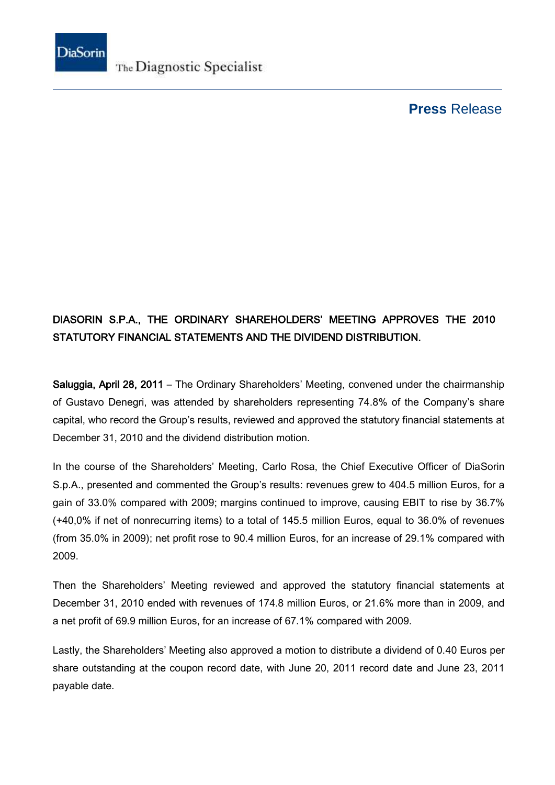

The Diagnostic Specialist

## **Press** Release

## DIASORIN S.P.A., THE ORDINARY SHAREHOLDERS' MEETING APPROVES THE 2010 STATUTORY FINANCIAL STATEMENTS AND THE DIVIDEND DISTRIBUTION.

Saluggia, April 28, 2011 – The Ordinary Shareholders' Meeting, convened under the chairmanship of Gustavo Denegri, was attended by shareholders representing 74.8% of the Company's share capital, who record the Group's results, reviewed and approved the statutory financial statements at December 31, 2010 and the dividend distribution motion.

In the course of the Shareholders' Meeting, Carlo Rosa, the Chief Executive Officer of DiaSorin S.p.A., presented and commented the Group's results: revenues grew to 404.5 million Euros, for a gain of 33.0% compared with 2009; margins continued to improve, causing EBIT to rise by 36.7% (+40,0% if net of nonrecurring items) to a total of 145.5 million Euros, equal to 36.0% of revenues (from 35.0% in 2009); net profit rose to 90.4 million Euros, for an increase of 29.1% compared with 2009.

Then the Shareholders' Meeting reviewed and approved the statutory financial statements at December 31, 2010 ended with revenues of 174.8 million Euros, or 21.6% more than in 2009, and a net profit of 69.9 million Euros, for an increase of 67.1% compared with 2009.

Lastly, the Shareholders' Meeting also approved a motion to distribute a dividend of 0.40 Euros per share outstanding at the coupon record date, with June 20, 2011 record date and June 23, 2011 payable date.